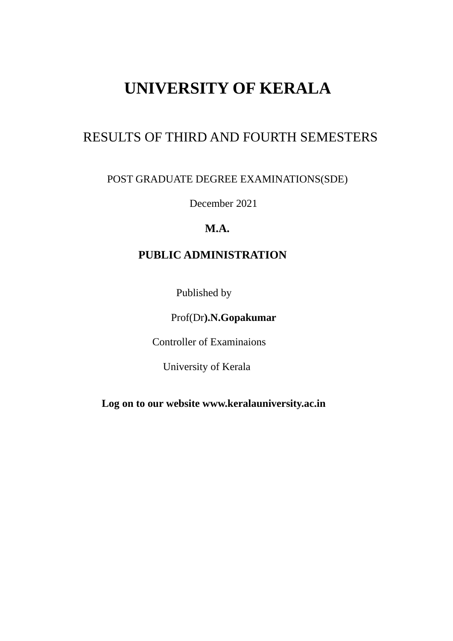# **UNIVERSITY OF KERALA**

# RESULTS OF THIRD AND FOURTH SEMESTERS

## POST GRADUATE DEGREE EXAMINATIONS(SDE)

December 2021

## **M.A.**

## **PUBLIC ADMINISTRATION**

Published by

Prof(Dr**).N.Gopakumar** 

Controller of Examinaions

University of Kerala

 **Log on to our website www.keralauniversity.ac.in**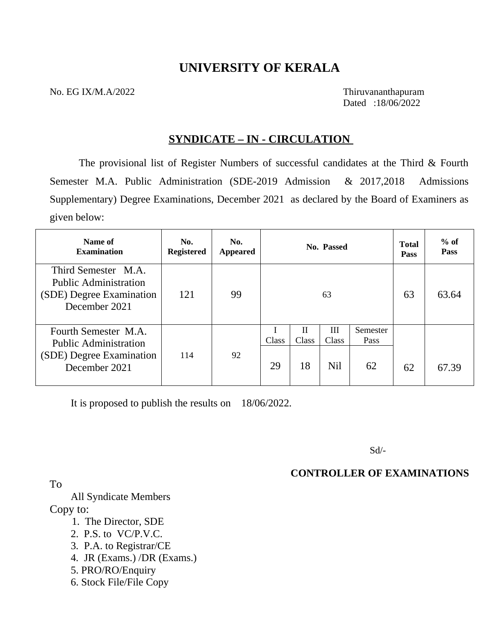## **UNIVERSITY OF KERALA**

No. EG IX/M.A/2022 Thiruvananthapuram

Dated :18/06/2022

## **SYNDICATE – IN - CIRCULATION**

The provisional list of Register Numbers of successful candidates at the Third & Fourth Semester M.A. Public Administration (SDE-2019 Admission & 2017,2018 Admissions Supplementary) Degree Examinations, December 2021 as declared by the Board of Examiners as given below:

| Name of<br><b>Examination</b>                                                                     | No.<br><b>Registered</b> | No.<br><b>Appeared</b> |             |                  | No. Passed        |                        | <b>Total</b><br><b>Pass</b> | $%$ of<br><b>Pass</b> |
|---------------------------------------------------------------------------------------------------|--------------------------|------------------------|-------------|------------------|-------------------|------------------------|-----------------------------|-----------------------|
| Third Semester M.A.<br><b>Public Administration</b><br>(SDE) Degree Examination<br>December 2021  | 121                      | 99                     |             |                  | 63                |                        | 63                          | 63.64                 |
| Fourth Semester M.A.<br><b>Public Administration</b><br>(SDE) Degree Examination<br>December 2021 | 114                      | 92                     | Class<br>29 | H<br>Class<br>18 | Ш<br>Class<br>Nil | Semester<br>Pass<br>62 | 62                          | 67.39                 |

It is proposed to publish the results on 18/06/2022.

Sd/-

**CONTROLLER OF EXAMINATIONS** 

To

 All Syndicate Members Copy to:

- 1. The Director, SDE
- 2. P.S. to VC/P.V.C.
- 3. P.A. to Registrar/CE
- 4. JR (Exams.) /DR (Exams.)
- 5. PRO/RO/Enquiry
- 6. Stock File/File Copy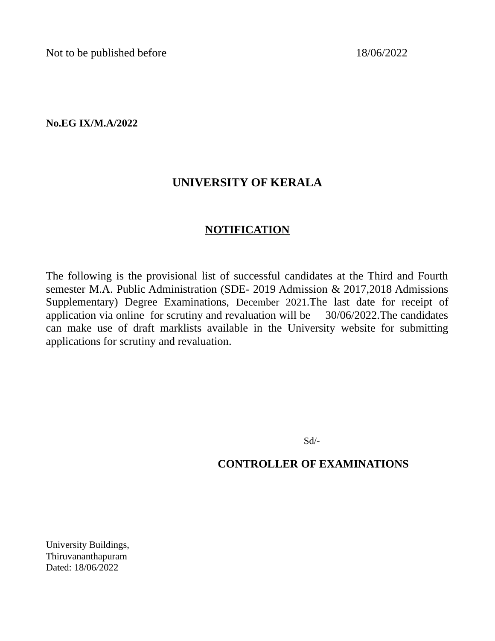Not to be published before 18/06/2022

**No.EG IX/M.A/2022**

## **UNIVERSITY OF KERALA**

## **NOTIFICATION**

The following is the provisional list of successful candidates at the Third and Fourth semester M.A. Public Administration (SDE- 2019 Admission & 2017,2018 Admissions Supplementary) Degree Examinations, December 2021.The last date for receipt of application via online for scrutiny and revaluation will be 30/06/2022.The candidates can make use of draft marklists available in the University website for submitting applications for scrutiny and revaluation.

Sd/-

## **CONTROLLER OF EXAMINATIONS**

University Buildings, Thiruvananthapuram Dated: 18/06*/*2022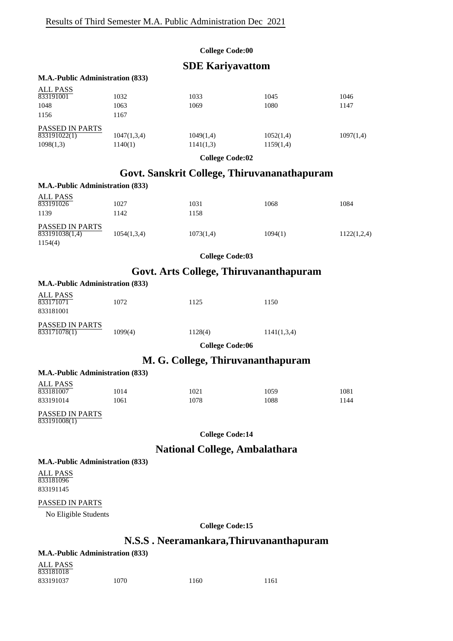### **SDE Kariyavattom**

#### **M.A.-Public Administration (833)**

| <b>ALL PASS</b><br>833191001 | 1032        | 1033      | 1045      | 1046      |
|------------------------------|-------------|-----------|-----------|-----------|
| 1048                         | 1063        | 1069      | 1080      | 1147      |
| 1156                         | 1167        |           |           |           |
| PASSED IN PARTS              |             |           |           |           |
| 833191022(1)                 | 1047(1,3,4) | 1049(1,4) | 1052(1,4) | 1097(1,4) |
| 1098(1,3)                    | 1140(1)     | 1141(1,3) | 1159(1,4) |           |

**College Code:02**

## **Govt. Sanskrit College, Thiruvananathapuram**

| <b>M.A.-Public Administration (833)</b> |             |           |         |             |
|-----------------------------------------|-------------|-----------|---------|-------------|
| ALL PASS<br>833191026                   | 1027        | 1031      | 1068    | 1084        |
| 1139                                    | 1142        | 1158      |         |             |
| PASSED IN PARTS<br>833191038(1,4)       | 1054(1,3,4) | 1073(1,4) | 1094(1) | 1122(1,2,4) |
| 1154(4)                                 |             |           |         |             |

**College Code:03**

## **Govt. Arts College, Thiruvananthapuram**

| M.A.-Public Administration (833) |         |             |
|----------------------------------|---------|-------------|
| 1072                             | 1125    | 1150        |
| 1099(4)                          | 1128(4) | 1141(1,3,4) |
|                                  |         |             |

**College Code:06**

### **M. G. College, Thiruvananthapuram**

|           | <b>M.A.-Public Administration (833)</b> |      |      |      |
|-----------|-----------------------------------------|------|------|------|
| ALL PASS  |                                         |      |      |      |
| 833181007 | 1014                                    | 1021 | 1059 | 1081 |
| 833191014 | 1061                                    | 1078 | 1088 | 1144 |

PASSED IN PARTS 833191008(1)

**M.A.-Public Administration (833)**

**College Code:14**

## **National College, Ambalathara**

**M.A.-Public Administration (833)**

ALL PASS 833181096 833191145

#### PASSED IN PARTS

No Eligible Students

**College Code:15**

## **N.S.S . Neeramankara,Thiruvananthapuram**

| <b>M.A.-Public Administration (833)</b> |      |      |      |
|-----------------------------------------|------|------|------|
| ALL PASS<br>833181018                   |      |      |      |
| 833191037                               | 1070 | 1160 | 1161 |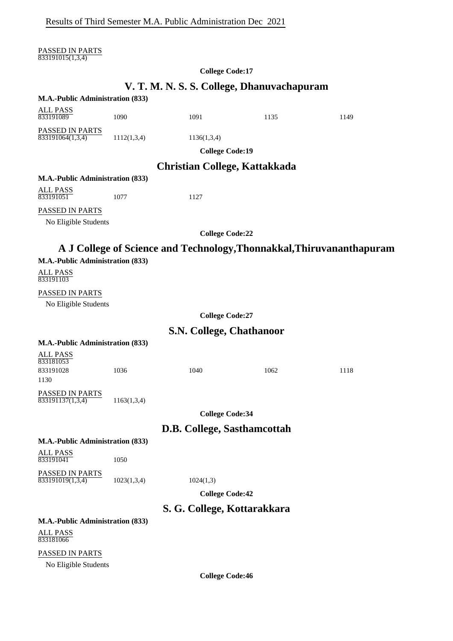PASSED IN PARTS 833191015(1,3,4)

#### **College Code:17**

## **V. T. M. N. S. S. College, Dhanuvachapuram**

|                                  |             | v. 1. ivi. iv. 5. 6. Conege, Dhanuvachapul am |      |                                                                       |
|----------------------------------|-------------|-----------------------------------------------|------|-----------------------------------------------------------------------|
| M.A.-Public Administration (833) |             |                                               |      |                                                                       |
| <b>ALL PASS</b>                  |             |                                               |      |                                                                       |
| 833191089                        | 1090        | 1091                                          | 1135 | 1149                                                                  |
| PASSED IN PARTS                  |             |                                               |      |                                                                       |
| 833191064(1,3,4)                 | 1112(1,3,4) | 1136(1,3,4)                                   |      |                                                                       |
|                                  |             | <b>College Code:19</b>                        |      |                                                                       |
|                                  |             | <b>Christian College, Kattakkada</b>          |      |                                                                       |
| M.A.-Public Administration (833) |             |                                               |      |                                                                       |
| <b>ALL PASS</b>                  |             |                                               |      |                                                                       |
| 833191051                        | 1077        | 1127                                          |      |                                                                       |
| PASSED IN PARTS                  |             |                                               |      |                                                                       |
| No Eligible Students             |             |                                               |      |                                                                       |
|                                  |             | <b>College Code:22</b>                        |      |                                                                       |
|                                  |             |                                               |      | A J College of Science and Technology, Thonnakkal, Thiruvananthapuram |
|                                  |             |                                               |      |                                                                       |
| M.A.-Public Administration (833) |             |                                               |      |                                                                       |
| ALL PASS<br>833191103            |             |                                               |      |                                                                       |
| PASSED IN PARTS                  |             |                                               |      |                                                                       |
| No Eligible Students             |             |                                               |      |                                                                       |
|                                  |             | <b>College Code:27</b>                        |      |                                                                       |
|                                  |             | S.N. College, Chathanoor                      |      |                                                                       |
| M.A.-Public Administration (833) |             |                                               |      |                                                                       |
|                                  |             |                                               |      |                                                                       |
| <b>ALL PASS</b><br>833181053     |             |                                               |      |                                                                       |
| 833191028                        | 1036        | 1040                                          | 1062 | 1118                                                                  |
| 1130                             |             |                                               |      |                                                                       |
| PASSED IN PARTS                  |             |                                               |      |                                                                       |
| 833191137(1,3,4)                 | 1163(1,3,4) |                                               |      |                                                                       |
|                                  |             | <b>College Code:34</b>                        |      |                                                                       |
|                                  |             | D.B. College, Sasthamcottah                   |      |                                                                       |
| M.A.-Public Administration (833) |             |                                               |      |                                                                       |
| <b>ALL PASS</b>                  |             |                                               |      |                                                                       |
| 833191041                        | 1050        |                                               |      |                                                                       |
| PASSED IN PARTS                  |             |                                               |      |                                                                       |
| 833191019(1,3,4)                 | 1023(1,3,4) | 1024(1,3)                                     |      |                                                                       |
|                                  |             | <b>College Code:42</b>                        |      |                                                                       |
|                                  |             | S. G. College, Kottarakkara                   |      |                                                                       |
| M.A.-Public Administration (833) |             |                                               |      |                                                                       |
| <b>ALL PASS</b><br>833181066     |             |                                               |      |                                                                       |
| PASSED IN PARTS                  |             |                                               |      |                                                                       |
| No Eligible Students             |             |                                               |      |                                                                       |

**College Code:46**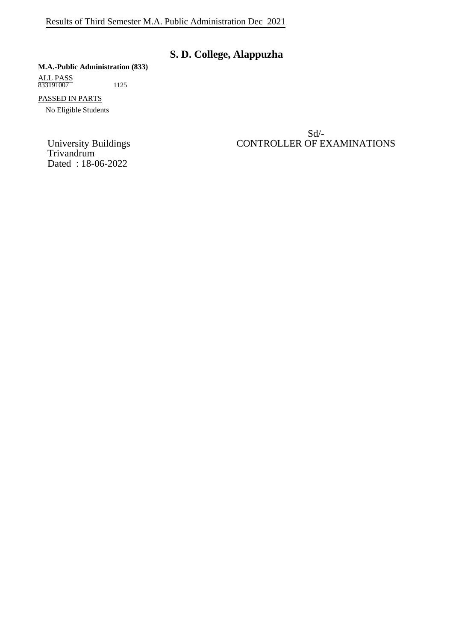## **S. D. College, Alappuzha**

#### **M.A.-Public Administration (833)**

ALL PASS 833191007 1125

PASSED IN PARTS

No Eligible Students

Trivandrum Dated : 18-06-2022

Sd/- University Buildings CONTROLLER OF EXAMINATIONS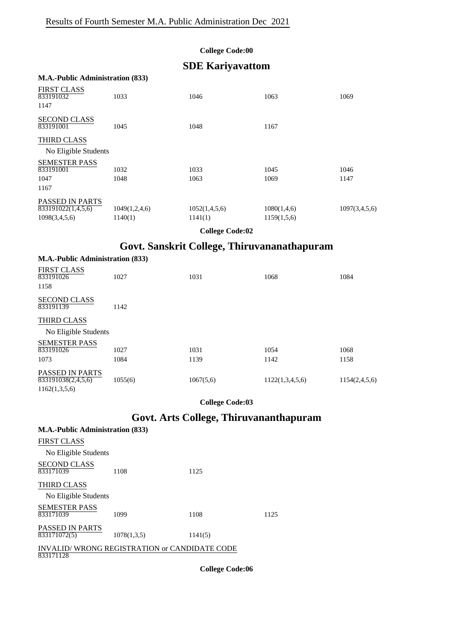## **SDE Kariyavattom**

#### **M.A.-Public Administration (833)**

1162(1,3,5,6)

| <b>FIRST CLASS</b><br>833191032  | 1033          | 1046          | 1063        | 1069          |
|----------------------------------|---------------|---------------|-------------|---------------|
| 1147                             |               |               |             |               |
| <b>SECOND CLASS</b><br>833191001 | 1045          | 1048          | 1167        |               |
| <b>THIRD CLASS</b>               |               |               |             |               |
| No Eligible Students             |               |               |             |               |
| <b>SEMESTER PASS</b>             |               |               |             |               |
| 833191001                        | 1032          | 1033          | 1045        | 1046          |
| 1047                             | 1048          | 1063          | 1069        | 1147          |
| 1167                             |               |               |             |               |
| <b>PASSED IN PARTS</b>           |               |               |             |               |
| 833191022(1,4,5,6)               | 1049(1,2,4,6) | 1052(1,4,5,6) | 1080(1,4,6) | 1097(3,4,5,6) |
| 1098(3,4,5,6)                    | 1140(1)       | 1141(1)       | 1159(1,5,6) |               |
|                                  |               |               |             |               |

**College Code:02**

## **Govt. Sanskrit College, Thiruvananathapuram**

| <b>M.A.-Public Administration (833)</b>                   |         |           |                 |               |
|-----------------------------------------------------------|---------|-----------|-----------------|---------------|
| <b>FIRST CLASS</b><br>833191026<br>1158                   | 1027    | 1031      | 1068            | 1084          |
| <b>SECOND CLASS</b><br>833191139                          | 1142    |           |                 |               |
| <b>THIRD CLASS</b>                                        |         |           |                 |               |
| No Eligible Students                                      |         |           |                 |               |
| <b>SEMESTER PASS</b><br>833191026                         | 1027    | 1031      | 1054            | 1068          |
| 1073                                                      | 1084    | 1139      | 1142            | 1158          |
| <b>PASSED IN PARTS</b><br>$\overline{8331}91038(2,4,5,6)$ | 1055(6) | 1067(5,6) | 1122(1,3,4,5,6) | 1154(2,4,5,6) |

**College Code:03**

## **Govt. Arts College, Thiruvananthapuram**

| <b>M.A.-Public Administration (833)</b>                   |             |         |      |
|-----------------------------------------------------------|-------------|---------|------|
| FIRST CLASS                                               |             |         |      |
| No Eligible Students                                      |             |         |      |
| <b>SECOND CLASS</b><br>833171039                          | 1108        | 1125    |      |
| THIRD CLASS                                               |             |         |      |
| No Eligible Students                                      |             |         |      |
| <b>SEMESTER PASS</b><br>833171039                         | 1099        | 1108    | 1125 |
| <b>PASSED IN PARTS</b><br>833171072(5)                    | 1078(1,3,5) | 1141(5) |      |
| INVALID/WRONG REGISTRATION or CANDIDATE CODE<br>833171128 |             |         |      |

**College Code:06**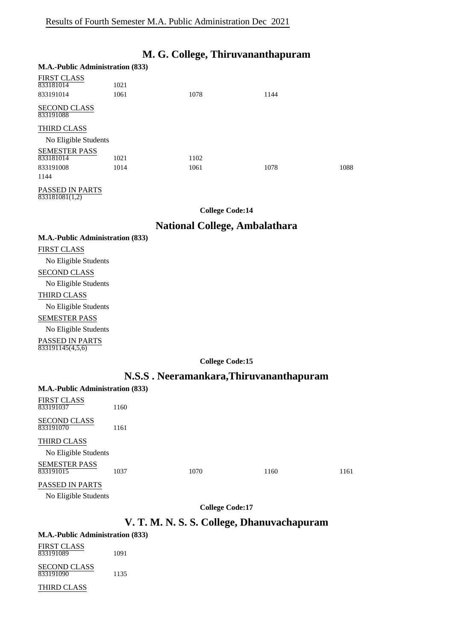## **M. G. College, Thiruvananthapuram**

#### **M.A.-Public Administration (833)**  $FID$ GE  $GL$   $AB$

| FIRS LCLASS                      |      |      |      |      |
|----------------------------------|------|------|------|------|
| 833181014                        | 1021 |      |      |      |
| 833191014                        | 1061 | 1078 | 1144 |      |
| <b>SECOND CLASS</b><br>833191088 |      |      |      |      |
| THIRD CLASS                      |      |      |      |      |
| No Eligible Students             |      |      |      |      |
| <b>SEMESTER PASS</b>             |      |      |      |      |
| 833181014                        | 1021 | 1102 |      |      |
| 833191008                        | 1014 | 1061 | 1078 | 1088 |
| 1144                             |      |      |      |      |
|                                  |      |      |      |      |

PASSED IN PARTS  $\frac{833181081(1,2)}{833181081(1,2)}$ 

**College Code:14**

### **National College, Ambalathara**

### **M.A.-Public Administration (833)**

## FIRST CLASS No Eligible Students SECOND CLASS No Eligible Students THIRD CLASS No Eligible Students SEMESTER PASS No Eligible Students PASSED IN PARTS 833191145(4,5,6)

#### **College Code:15**

### **N.S.S . Neeramankara,Thiruvananthapuram**

| M.A.-Public Administration (833) |      |      |      |      |
|----------------------------------|------|------|------|------|
| FIRST CLASS<br>833191037         | 1160 |      |      |      |
| SECOND CLASS<br>833191070        | 1161 |      |      |      |
| THIRD CLASS                      |      |      |      |      |
| No Eligible Students             |      |      |      |      |
| SEMESTER PASS<br>833191015       | 1037 | 1070 | 1160 | 1161 |
| PASSED IN PARTS                  |      |      |      |      |

No Eligible Students

**College Code:17**

## **V. T. M. N. S. S. College, Dhanuvachapuram**

#### **M.A.-Public Administration (833)**

| FIRST CLASS<br>833191089         | 1091 |
|----------------------------------|------|
| <b>SECOND CLASS</b><br>833191090 | 1135 |

#### THIRD CLASS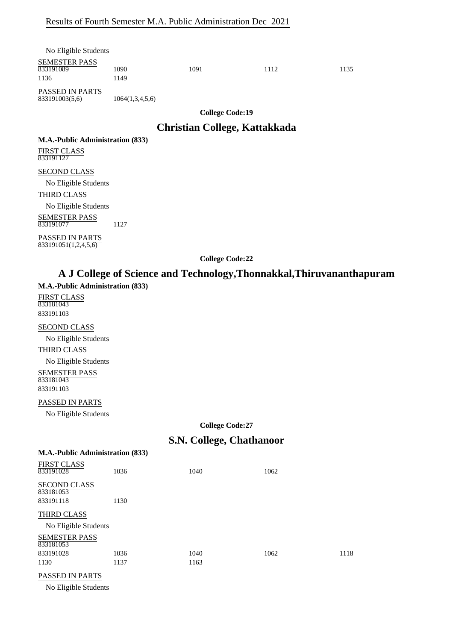| No Eligible Students               |                 |                                 |      |      |
|------------------------------------|-----------------|---------------------------------|------|------|
| SEMESTER PASS<br>833191089<br>1136 | 1090<br>1149    | 1091                            | 1112 | 1135 |
| PASSED IN PARTS<br>833191003(5,6)  | 1064(1,3,4,5,6) |                                 |      |      |
|                                    |                 | $A \cup B \cup C \cup C \cup A$ |      |      |

### **Christian College, Kattakkada**

**M.A.-Public Administration (833)**

FIRST CLASS 833191127

#### SECOND CLASS

No Eligible Students

#### THIRD CLASS

No Eligible Students SEMESTER PASS

833191077 1127

PASSED IN PARTS  $833191051(1,2,4,5,6)$ 

**College Code:22**

## **A J College of Science and Technology,Thonnakkal,Thiruvananthapuram**

#### **M.A.-Public Administration (833)**

FIRST CLASS 833181043 833191103

#### SECOND CLASS

No Eligible Students THIRD CLASS No Eligible Students SEMESTER PASS 833181043

833191103

#### PASSED IN PARTS

No Eligible Students

**M.A.-Public Administration (833)**

**College Code:27**

### **S.N. College, Chathanoor**

| <b>FIRST CLASS</b><br>833191028               | 1036 | 1040 | 1062 |      |
|-----------------------------------------------|------|------|------|------|
| <b>SECOND CLASS</b><br>833181053<br>833191118 | 1130 |      |      |      |
| THIRD CLASS                                   |      |      |      |      |
| No Eligible Students                          |      |      |      |      |
| <b>SEMESTER PASS</b><br>833181053             |      |      |      |      |
| 833191028                                     | 1036 | 1040 | 1062 | 1118 |
| 1130                                          | 1137 | 1163 |      |      |
| <b>PASSED IN PARTS</b>                        |      |      |      |      |

No Eligible Students